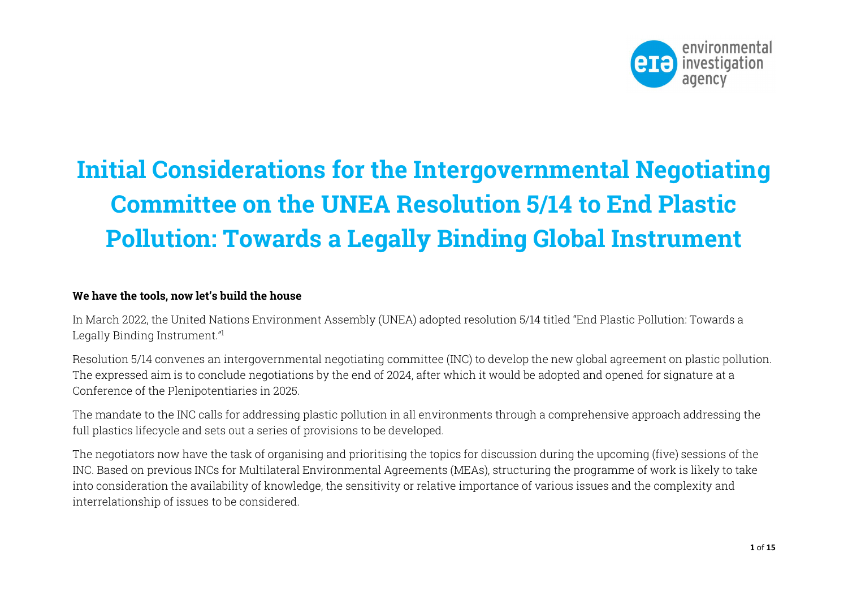

# Initial Considerations for the Intergovernmental Negotiating Committee on the UNEA Resolution 5/14 to End Plastic Pollution: Towards a Legally Binding Global Instrument

# We have the tools, now let's build the house

In March 2022, the United Nations Environment Assembly (UNEA) adopted resolution 5/14 titled "End Plastic Pollution: Towards a Legally Binding Instrument."<sup>1</sup>

Resolution 5/14 convenes an intergovernmental negotiating committee (INC) to develop the new global agreement on plastic pollution. The expressed aim is to conclude negotiations by the end of 2024, after which it would be adopted and opened for signature at a Conference of the Plenipotentiaries in 2025.

The mandate to the INC calls for addressing plastic pollution in all environments through a comprehensive approach addressing the full plastics lifecycle and sets out a series of provisions to be developed.

The negotiators now have the task of organising and prioritising the topics for discussion during the upcoming (five) sessions of the INC. Based on previous INCs for Multilateral Environmental Agreements (MEAs), structuring the programme of work is likely to take into consideration the availability of knowledge, the sensitivity or relative importance of various issues and the complexity and interrelationship of issues to be considered.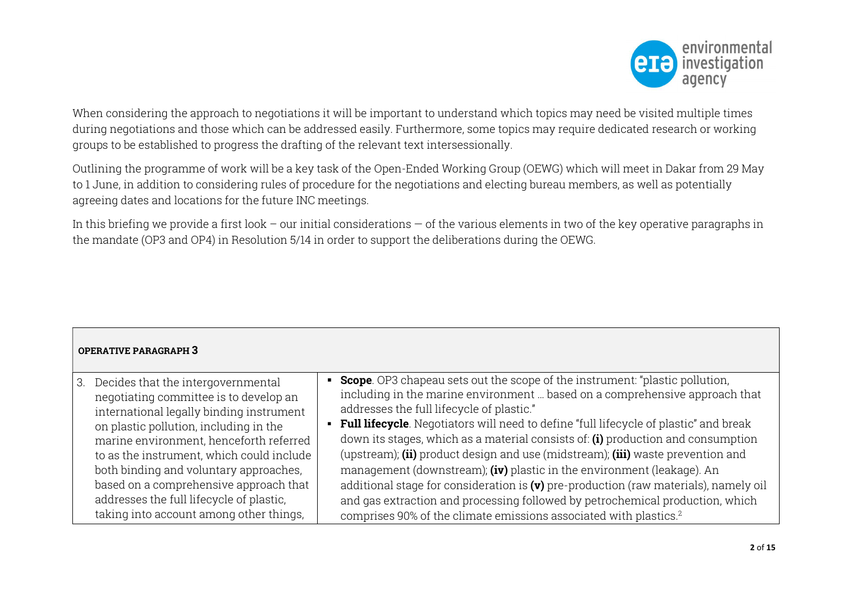

When considering the approach to negotiations it will be important to understand which topics may need be visited multiple times during negotiations and those which can be addressed easily. Furthermore, some topics may require dedicated research or working groups to be established to progress the drafting of the relevant text intersessionally.

Outlining the programme of work will be a key task of the Open-Ended Working Group (OEWG) which will meet in Dakar from 29 May to 1 June, in addition to considering rules of procedure for the negotiations and electing bureau members, as well as potentially agreeing dates and locations for the future INC meetings.

In this briefing we provide a first look – our initial considerations – of the various elements in two of the key operative paragraphs in the mandate (OP3 and OP4) in Resolution 5/14 in order to support the deliberations during the OEWG.

| <b>OPERATIVE PARAGRAPH 3</b>              |                                                                                         |
|-------------------------------------------|-----------------------------------------------------------------------------------------|
| 3. Decides that the intergovernmental     | • Scope. OP3 chapeau sets out the scope of the instrument: "plastic pollution,          |
| negotiating committee is to develop an    | including in the marine environment  based on a comprehensive approach that             |
| international legally binding instrument  | addresses the full lifecycle of plastic."                                               |
| on plastic pollution, including in the    | • Full lifecycle. Negotiators will need to define "full lifecycle of plastic" and break |
| marine environment, henceforth referred   | down its stages, which as a material consists of: (i) production and consumption        |
| to as the instrument, which could include | (upstream); (ii) product design and use (midstream); (iii) waste prevention and         |
| both binding and voluntary approaches,    | management (downstream); (iv) plastic in the environment (leakage). An                  |
| based on a comprehensive approach that    | additional stage for consideration is $(v)$ pre-production (raw materials), namely oil  |
| addresses the full lifecycle of plastic,  | and gas extraction and processing followed by petrochemical production, which           |
| taking into account among other things,   | comprises 90% of the climate emissions associated with plastics. <sup>2</sup>           |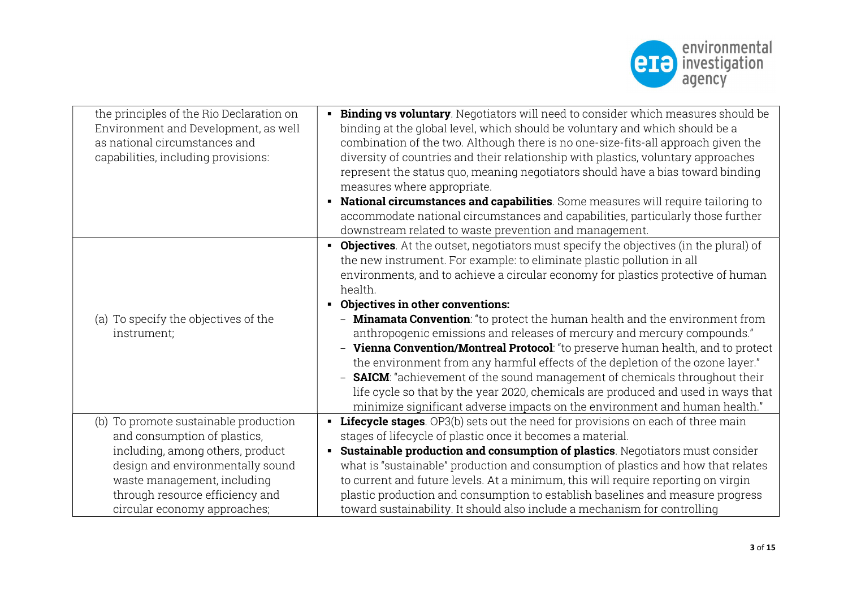

| the principles of the Rio Declaration on<br>Environment and Development, as well<br>as national circumstances and<br>capabilities, including provisions: | Binding vs voluntary. Negotiators will need to consider which measures should be<br>$\blacksquare$<br>binding at the global level, which should be voluntary and which should be a<br>combination of the two. Although there is no one-size-fits-all approach given the<br>diversity of countries and their relationship with plastics, voluntary approaches<br>represent the status quo, meaning negotiators should have a bias toward binding<br>measures where appropriate.<br>National circumstances and capabilities. Some measures will require tailoring to<br>$\blacksquare$<br>accommodate national circumstances and capabilities, particularly those further                                                                                                                                                                                                                                                                                  |
|----------------------------------------------------------------------------------------------------------------------------------------------------------|----------------------------------------------------------------------------------------------------------------------------------------------------------------------------------------------------------------------------------------------------------------------------------------------------------------------------------------------------------------------------------------------------------------------------------------------------------------------------------------------------------------------------------------------------------------------------------------------------------------------------------------------------------------------------------------------------------------------------------------------------------------------------------------------------------------------------------------------------------------------------------------------------------------------------------------------------------|
|                                                                                                                                                          | downstream related to waste prevention and management.                                                                                                                                                                                                                                                                                                                                                                                                                                                                                                                                                                                                                                                                                                                                                                                                                                                                                                   |
| (a) To specify the objectives of the<br>instrument;                                                                                                      | <b>Objectives</b> . At the outset, negotiators must specify the objectives (in the plural) of<br>$\blacksquare$<br>the new instrument. For example: to eliminate plastic pollution in all<br>environments, and to achieve a circular economy for plastics protective of human<br>health.<br><b>Objectives in other conventions:</b><br>$\blacksquare$<br>- <b>Minamata Convention</b> : "to protect the human health and the environment from<br>anthropogenic emissions and releases of mercury and mercury compounds."<br>- Vienna Convention/Montreal Protocol: "to preserve human health, and to protect<br>the environment from any harmful effects of the depletion of the ozone layer."<br>- <b>SAICM</b> : "achievement of the sound management of chemicals throughout their<br>life cycle so that by the year 2020, chemicals are produced and used in ways that<br>minimize significant adverse impacts on the environment and human health." |
| (b) To promote sustainable production                                                                                                                    | <b>Lifecycle stages</b> . OP3(b) sets out the need for provisions on each of three main<br>$\blacksquare$                                                                                                                                                                                                                                                                                                                                                                                                                                                                                                                                                                                                                                                                                                                                                                                                                                                |
| and consumption of plastics,                                                                                                                             | stages of lifecycle of plastic once it becomes a material.                                                                                                                                                                                                                                                                                                                                                                                                                                                                                                                                                                                                                                                                                                                                                                                                                                                                                               |
| including, among others, product                                                                                                                         | Sustainable production and consumption of plastics. Negotiators must consider<br>$\blacksquare$                                                                                                                                                                                                                                                                                                                                                                                                                                                                                                                                                                                                                                                                                                                                                                                                                                                          |
| design and environmentally sound                                                                                                                         | what is "sustainable" production and consumption of plastics and how that relates                                                                                                                                                                                                                                                                                                                                                                                                                                                                                                                                                                                                                                                                                                                                                                                                                                                                        |
| waste management, including                                                                                                                              | to current and future levels. At a minimum, this will require reporting on virgin                                                                                                                                                                                                                                                                                                                                                                                                                                                                                                                                                                                                                                                                                                                                                                                                                                                                        |
| through resource efficiency and                                                                                                                          | plastic production and consumption to establish baselines and measure progress                                                                                                                                                                                                                                                                                                                                                                                                                                                                                                                                                                                                                                                                                                                                                                                                                                                                           |
| circular economy approaches;                                                                                                                             | toward sustainability. It should also include a mechanism for controlling                                                                                                                                                                                                                                                                                                                                                                                                                                                                                                                                                                                                                                                                                                                                                                                                                                                                                |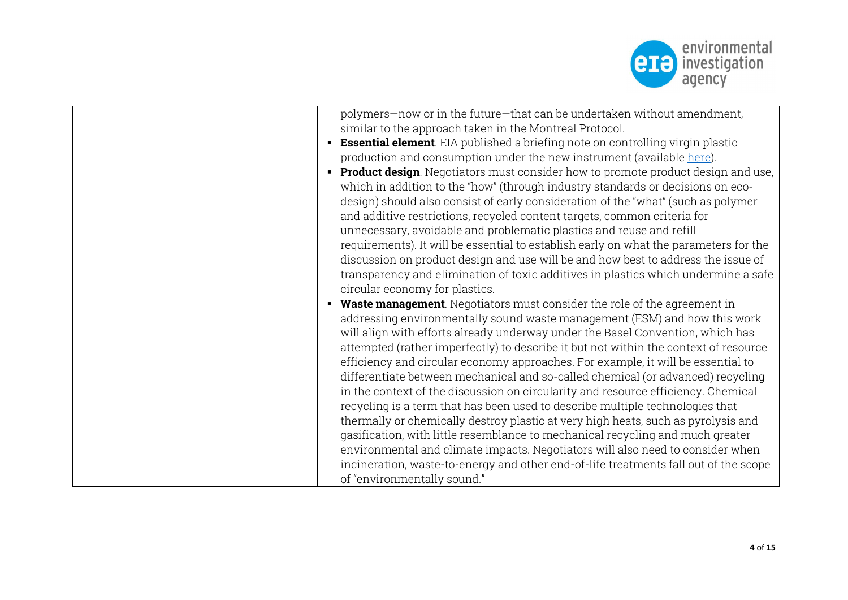

| polymers-now or in the future-that can be undertaken without amendment,                  |
|------------------------------------------------------------------------------------------|
| similar to the approach taken in the Montreal Protocol.                                  |
| <b>Essential element</b> . EIA published a briefing note on controlling virgin plastic   |
| production and consumption under the new instrument (available here).                    |
| <b>Product design</b> . Negotiators must consider how to promote product design and use, |
| which in addition to the "how" (through industry standards or decisions on eco-          |
| design) should also consist of early consideration of the "what" (such as polymer        |
| and additive restrictions, recycled content targets, common criteria for                 |
| unnecessary, avoidable and problematic plastics and reuse and refill                     |
| requirements). It will be essential to establish early on what the parameters for the    |
| discussion on product design and use will be and how best to address the issue of        |
| transparency and elimination of toxic additives in plastics which undermine a safe       |
| circular economy for plastics.                                                           |
| <b>Waste management</b> . Negotiators must consider the role of the agreement in         |
| addressing environmentally sound waste management (ESM) and how this work                |
| will align with efforts already underway under the Basel Convention, which has           |
| attempted (rather imperfectly) to describe it but not within the context of resource     |
| efficiency and circular economy approaches. For example, it will be essential to         |
| differentiate between mechanical and so-called chemical (or advanced) recycling          |
| in the context of the discussion on circularity and resource efficiency. Chemical        |
| recycling is a term that has been used to describe multiple technologies that            |
| thermally or chemically destroy plastic at very high heats, such as pyrolysis and        |
| gasification, with little resemblance to mechanical recycling and much greater           |
| environmental and climate impacts. Negotiators will also need to consider when           |
| incineration, waste-to-energy and other end-of-life treatments fall out of the scope     |
| of "environmentally sound."                                                              |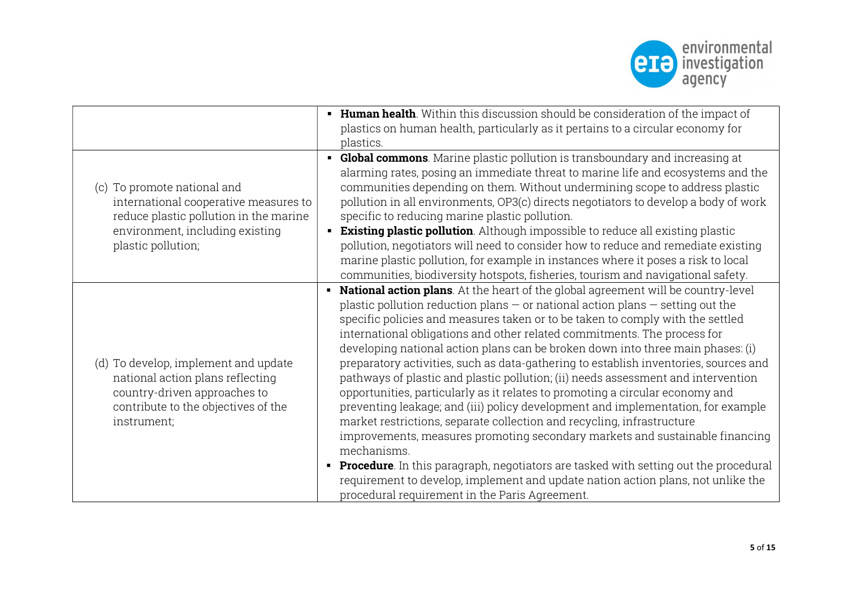

|                                                                                                                                                                         | • Human health. Within this discussion should be consideration of the impact of<br>plastics on human health, particularly as it pertains to a circular economy for<br>plastics.                                                                                                                                                                                                                                                                                                                                                                                                                                                                                                                                                                                                                                                                                                                                                                                                                                                                                                                                                                                                       |
|-------------------------------------------------------------------------------------------------------------------------------------------------------------------------|---------------------------------------------------------------------------------------------------------------------------------------------------------------------------------------------------------------------------------------------------------------------------------------------------------------------------------------------------------------------------------------------------------------------------------------------------------------------------------------------------------------------------------------------------------------------------------------------------------------------------------------------------------------------------------------------------------------------------------------------------------------------------------------------------------------------------------------------------------------------------------------------------------------------------------------------------------------------------------------------------------------------------------------------------------------------------------------------------------------------------------------------------------------------------------------|
| (c) To promote national and<br>international cooperative measures to<br>reduce plastic pollution in the marine<br>environment, including existing<br>plastic pollution; | • Global commons. Marine plastic pollution is transboundary and increasing at<br>alarming rates, posing an immediate threat to marine life and ecosystems and the<br>communities depending on them. Without undermining scope to address plastic<br>pollution in all environments, OP3(c) directs negotiators to develop a body of work<br>specific to reducing marine plastic pollution.<br><b>Existing plastic pollution</b> . Although impossible to reduce all existing plastic<br>pollution, negotiators will need to consider how to reduce and remediate existing<br>marine plastic pollution, for example in instances where it poses a risk to local<br>communities, biodiversity hotspots, fisheries, tourism and navigational safety.                                                                                                                                                                                                                                                                                                                                                                                                                                      |
| (d) To develop, implement and update<br>national action plans reflecting<br>country-driven approaches to<br>contribute to the objectives of the<br>instrument;          | • National action plans. At the heart of the global agreement will be country-level<br>plastic pollution reduction plans $-$ or national action plans $-$ setting out the<br>specific policies and measures taken or to be taken to comply with the settled<br>international obligations and other related commitments. The process for<br>developing national action plans can be broken down into three main phases: (i)<br>preparatory activities, such as data-gathering to establish inventories, sources and<br>pathways of plastic and plastic pollution; (ii) needs assessment and intervention<br>opportunities, particularly as it relates to promoting a circular economy and<br>preventing leakage; and (iii) policy development and implementation, for example<br>market restrictions, separate collection and recycling, infrastructure<br>improvements, measures promoting secondary markets and sustainable financing<br>mechanisms.<br>• Procedure. In this paragraph, negotiators are tasked with setting out the procedural<br>requirement to develop, implement and update nation action plans, not unlike the<br>procedural requirement in the Paris Agreement. |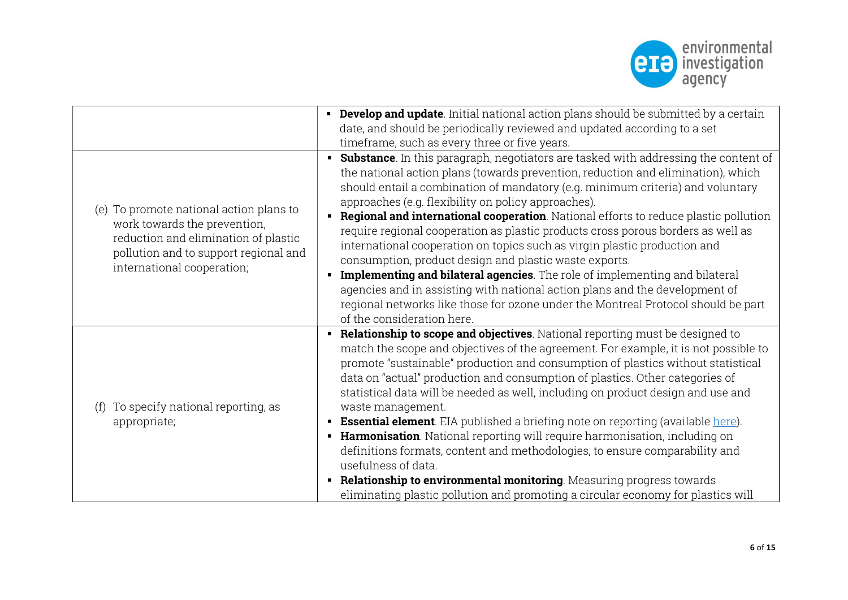

|                                                                                                                                                                                        | <b>Develop and update</b> . Initial national action plans should be submitted by a certain<br>date, and should be periodically reviewed and updated according to a set<br>timeframe, such as every three or five years.                                                                                                                                                                                                                                                                                                                                                                                                                                                                                                                                                                                                                                                                                                                  |
|----------------------------------------------------------------------------------------------------------------------------------------------------------------------------------------|------------------------------------------------------------------------------------------------------------------------------------------------------------------------------------------------------------------------------------------------------------------------------------------------------------------------------------------------------------------------------------------------------------------------------------------------------------------------------------------------------------------------------------------------------------------------------------------------------------------------------------------------------------------------------------------------------------------------------------------------------------------------------------------------------------------------------------------------------------------------------------------------------------------------------------------|
| (e) To promote national action plans to<br>work towards the prevention,<br>reduction and elimination of plastic<br>pollution and to support regional and<br>international cooperation; | • Substance. In this paragraph, negotiators are tasked with addressing the content of<br>the national action plans (towards prevention, reduction and elimination), which<br>should entail a combination of mandatory (e.g. minimum criteria) and voluntary<br>approaches (e.g. flexibility on policy approaches).<br>Regional and international cooperation. National efforts to reduce plastic pollution<br>$\blacksquare$<br>require regional cooperation as plastic products cross porous borders as well as<br>international cooperation on topics such as virgin plastic production and<br>consumption, product design and plastic waste exports.<br>Implementing and bilateral agencies. The role of implementing and bilateral<br>agencies and in assisting with national action plans and the development of<br>regional networks like those for ozone under the Montreal Protocol should be part<br>of the consideration here. |
| To specify national reporting, as<br>(f)<br>appropriate;                                                                                                                               | • Relationship to scope and objectives. National reporting must be designed to<br>match the scope and objectives of the agreement. For example, it is not possible to<br>promote "sustainable" production and consumption of plastics without statistical<br>data on "actual" production and consumption of plastics. Other categories of<br>statistical data will be needed as well, including on product design and use and<br>waste management.<br><b>Essential element</b> . EIA published a briefing note on reporting (available here).<br>• Harmonisation. National reporting will require harmonisation, including on<br>definitions formats, content and methodologies, to ensure comparability and<br>usefulness of data.<br><b>- Relationship to environmental monitoring</b> . Measuring progress towards<br>eliminating plastic pollution and promoting a circular economy for plastics will                                |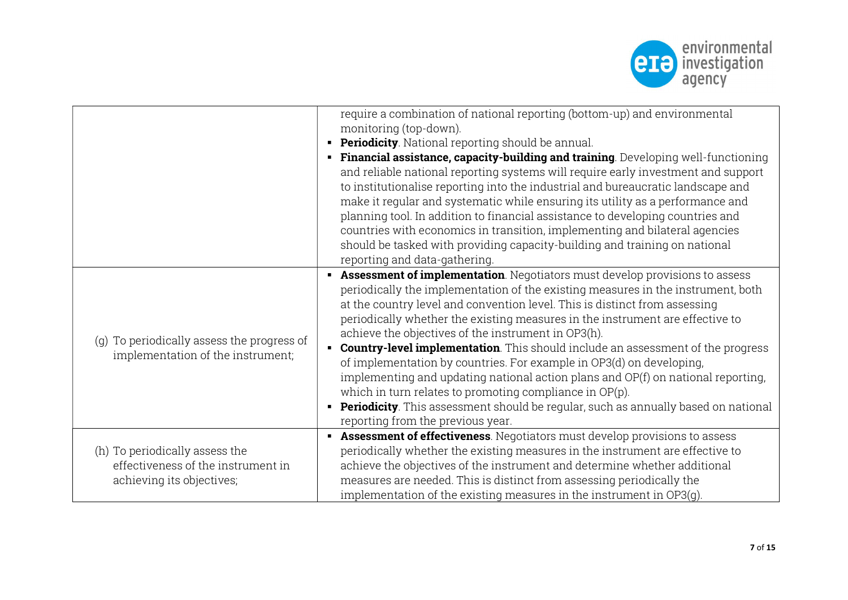

|                                                                                 | require a combination of national reporting (bottom-up) and environmental<br>monitoring (top-down).<br><b>Periodicity</b> . National reporting should be annual.<br>٠<br>Financial assistance, capacity-building and training. Developing well-functioning<br>٠<br>and reliable national reporting systems will require early investment and support<br>to institutionalise reporting into the industrial and bureaucratic landscape and<br>make it regular and systematic while ensuring its utility as a performance and<br>planning tool. In addition to financial assistance to developing countries and<br>countries with economics in transition, implementing and bilateral agencies<br>should be tasked with providing capacity-building and training on national<br>reporting and data-gathering.                                                                                |
|---------------------------------------------------------------------------------|-------------------------------------------------------------------------------------------------------------------------------------------------------------------------------------------------------------------------------------------------------------------------------------------------------------------------------------------------------------------------------------------------------------------------------------------------------------------------------------------------------------------------------------------------------------------------------------------------------------------------------------------------------------------------------------------------------------------------------------------------------------------------------------------------------------------------------------------------------------------------------------------|
| (g) To periodically assess the progress of<br>implementation of the instrument; | <b>Assessment of implementation</b> . Negotiators must develop provisions to assess<br>periodically the implementation of the existing measures in the instrument, both<br>at the country level and convention level. This is distinct from assessing<br>periodically whether the existing measures in the instrument are effective to<br>achieve the objectives of the instrument in OP3(h).<br><b>Country-level implementation</b> . This should include an assessment of the progress<br>$\blacksquare$<br>of implementation by countries. For example in OP3(d) on developing,<br>implementing and updating national action plans and OP(f) on national reporting,<br>which in turn relates to promoting compliance in $OP(p)$ .<br><b>Periodicity</b> . This assessment should be regular, such as annually based on national<br>$\blacksquare$<br>reporting from the previous year. |
| (h) To periodically assess the                                                  | Assessment of effectiveness. Negotiators must develop provisions to assess<br>$\blacksquare$<br>periodically whether the existing measures in the instrument are effective to                                                                                                                                                                                                                                                                                                                                                                                                                                                                                                                                                                                                                                                                                                             |
| effectiveness of the instrument in                                              | achieve the objectives of the instrument and determine whether additional                                                                                                                                                                                                                                                                                                                                                                                                                                                                                                                                                                                                                                                                                                                                                                                                                 |
| achieving its objectives;                                                       | measures are needed. This is distinct from assessing periodically the<br>implementation of the existing measures in the instrument in OP3(g).                                                                                                                                                                                                                                                                                                                                                                                                                                                                                                                                                                                                                                                                                                                                             |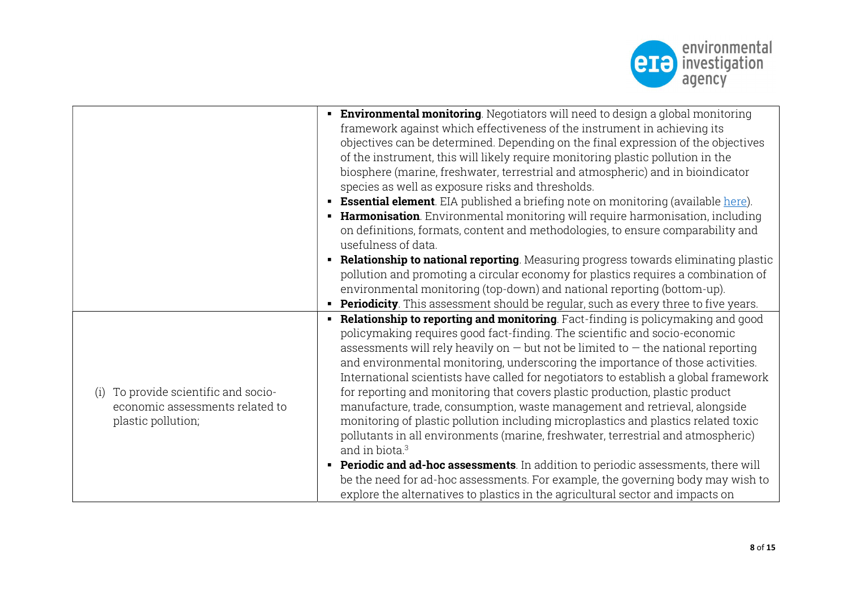

|                                         | <b>Environmental monitoring</b> . Negotiators will need to design a global monitoring            |
|-----------------------------------------|--------------------------------------------------------------------------------------------------|
|                                         | framework against which effectiveness of the instrument in achieving its                         |
|                                         | objectives can be determined. Depending on the final expression of the objectives                |
|                                         | of the instrument, this will likely require monitoring plastic pollution in the                  |
|                                         | biosphere (marine, freshwater, terrestrial and atmospheric) and in bioindicator                  |
|                                         | species as well as exposure risks and thresholds.                                                |
|                                         | <b>Essential element</b> . EIA published a briefing note on monitoring (available <u>here</u> ). |
|                                         | • Harmonisation. Environmental monitoring will require harmonisation, including                  |
|                                         | on definitions, formats, content and methodologies, to ensure comparability and                  |
|                                         | usefulness of data.                                                                              |
|                                         | <b>Relationship to national reporting</b> . Measuring progress towards eliminating plastic       |
|                                         | pollution and promoting a circular economy for plastics requires a combination of                |
|                                         | environmental monitoring (top-down) and national reporting (bottom-up).                          |
|                                         | <b>Periodicity</b> . This assessment should be regular, such as every three to five years.       |
|                                         | • Relationship to reporting and monitoring. Fact-finding is policymaking and good                |
|                                         | policymaking requires good fact-finding. The scientific and socio-economic                       |
|                                         | assessments will rely heavily on $-$ but not be limited to $-$ the national reporting            |
|                                         | and environmental monitoring, underscoring the importance of those activities.                   |
|                                         | International scientists have called for negotiators to establish a global framework             |
| To provide scientific and socio-<br>(i) | for reporting and monitoring that covers plastic production, plastic product                     |
| economic assessments related to         | manufacture, trade, consumption, waste management and retrieval, alongside                       |
| plastic pollution;                      | monitoring of plastic pollution including microplastics and plastics related toxic               |
|                                         | pollutants in all environments (marine, freshwater, terrestrial and atmospheric)                 |
|                                         | and in biota. <sup>3</sup>                                                                       |
|                                         | <b>Periodic and ad-hoc assessments</b> . In addition to periodic assessments, there will         |
|                                         | be the need for ad-hoc assessments. For example, the governing body may wish to                  |
|                                         | explore the alternatives to plastics in the agricultural sector and impacts on                   |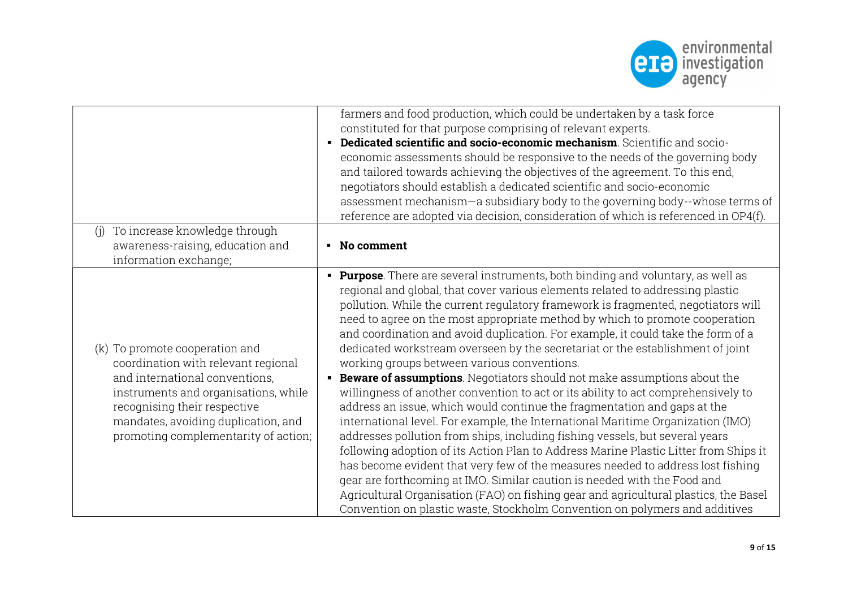

|                                                                                                                                                                                                                                                                | farmers and food production, which could be undertaken by a task force<br>constituted for that purpose comprising of relevant experts.<br>Dedicated scientific and socio-economic mechanism. Scientific and socio-<br>٠<br>economic assessments should be responsive to the needs of the governing body<br>and tailored towards achieving the objectives of the agreement. To this end,<br>negotiators should establish a dedicated scientific and socio-economic<br>assessment mechanism-a subsidiary body to the governing body--whose terms of<br>reference are adopted via decision, consideration of which is referenced in OP4(f).                                                                                                                                                                                                                                                                                                                                                                                                                                                                                                                                                                                                                                                                                                                                                                         |
|----------------------------------------------------------------------------------------------------------------------------------------------------------------------------------------------------------------------------------------------------------------|------------------------------------------------------------------------------------------------------------------------------------------------------------------------------------------------------------------------------------------------------------------------------------------------------------------------------------------------------------------------------------------------------------------------------------------------------------------------------------------------------------------------------------------------------------------------------------------------------------------------------------------------------------------------------------------------------------------------------------------------------------------------------------------------------------------------------------------------------------------------------------------------------------------------------------------------------------------------------------------------------------------------------------------------------------------------------------------------------------------------------------------------------------------------------------------------------------------------------------------------------------------------------------------------------------------------------------------------------------------------------------------------------------------|
| To increase knowledge through<br>(i)<br>awareness-raising, education and<br>information exchange;                                                                                                                                                              | • No comment                                                                                                                                                                                                                                                                                                                                                                                                                                                                                                                                                                                                                                                                                                                                                                                                                                                                                                                                                                                                                                                                                                                                                                                                                                                                                                                                                                                                     |
| (k) To promote cooperation and<br>coordination with relevant regional<br>and international conventions,<br>instruments and organisations, while<br>recognising their respective<br>mandates, avoiding duplication, and<br>promoting complementarity of action; | Purpose. There are several instruments, both binding and voluntary, as well as<br>regional and global, that cover various elements related to addressing plastic<br>pollution. While the current regulatory framework is fragmented, negotiators will<br>need to agree on the most appropriate method by which to promote cooperation<br>and coordination and avoid duplication. For example, it could take the form of a<br>dedicated workstream overseen by the secretariat or the establishment of joint<br>working groups between various conventions.<br><b>Beware of assumptions</b> . Negotiators should not make assumptions about the<br>willingness of another convention to act or its ability to act comprehensively to<br>address an issue, which would continue the fragmentation and gaps at the<br>international level. For example, the International Maritime Organization (IMO)<br>addresses pollution from ships, including fishing vessels, but several years<br>following adoption of its Action Plan to Address Marine Plastic Litter from Ships it<br>has become evident that very few of the measures needed to address lost fishing<br>gear are forthcoming at IMO. Similar caution is needed with the Food and<br>Agricultural Organisation (FAO) on fishing gear and agricultural plastics, the Basel<br>Convention on plastic waste, Stockholm Convention on polymers and additives |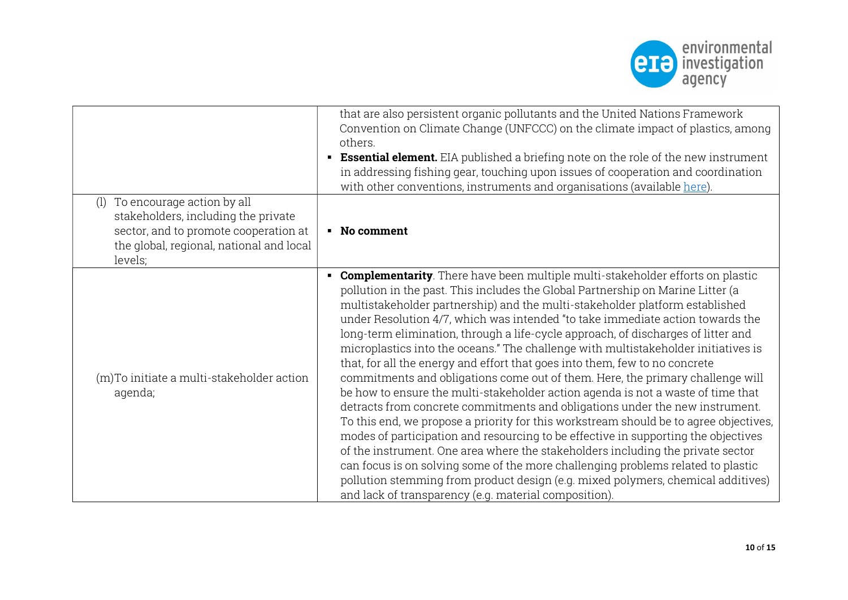

|                                                                                                                                                                          | that are also persistent organic pollutants and the United Nations Framework<br>Convention on Climate Change (UNFCCC) on the climate impact of plastics, among<br>others.<br><b>Essential element.</b> EIA published a briefing note on the role of the new instrument<br>in addressing fishing gear, touching upon issues of cooperation and coordination<br>with other conventions, instruments and organisations (available here).                                                                                                                                                                                                                                                                                                                                                                                                                                                                                                                                                                                                                                                                                                                                                                                                                                                                                                                          |
|--------------------------------------------------------------------------------------------------------------------------------------------------------------------------|----------------------------------------------------------------------------------------------------------------------------------------------------------------------------------------------------------------------------------------------------------------------------------------------------------------------------------------------------------------------------------------------------------------------------------------------------------------------------------------------------------------------------------------------------------------------------------------------------------------------------------------------------------------------------------------------------------------------------------------------------------------------------------------------------------------------------------------------------------------------------------------------------------------------------------------------------------------------------------------------------------------------------------------------------------------------------------------------------------------------------------------------------------------------------------------------------------------------------------------------------------------------------------------------------------------------------------------------------------------|
| To encourage action by all<br>(1)<br>stakeholders, including the private<br>sector, and to promote cooperation at<br>the global, regional, national and local<br>levels; | • No comment                                                                                                                                                                                                                                                                                                                                                                                                                                                                                                                                                                                                                                                                                                                                                                                                                                                                                                                                                                                                                                                                                                                                                                                                                                                                                                                                                   |
| (m) To initiate a multi-stakeholder action<br>agenda;                                                                                                                    | <b>Complementarity</b> . There have been multiple multi-stakeholder efforts on plastic<br>pollution in the past. This includes the Global Partnership on Marine Litter (a<br>multistakeholder partnership) and the multi-stakeholder platform established<br>under Resolution 4/7, which was intended "to take immediate action towards the<br>long-term elimination, through a life-cycle approach, of discharges of litter and<br>microplastics into the oceans." The challenge with multistakeholder initiatives is<br>that, for all the energy and effort that goes into them, few to no concrete<br>commitments and obligations come out of them. Here, the primary challenge will<br>be how to ensure the multi-stakeholder action agenda is not a waste of time that<br>detracts from concrete commitments and obligations under the new instrument.<br>To this end, we propose a priority for this workstream should be to agree objectives,<br>modes of participation and resourcing to be effective in supporting the objectives<br>of the instrument. One area where the stakeholders including the private sector<br>can focus is on solving some of the more challenging problems related to plastic<br>pollution stemming from product design (e.g. mixed polymers, chemical additives)<br>and lack of transparency (e.g. material composition). |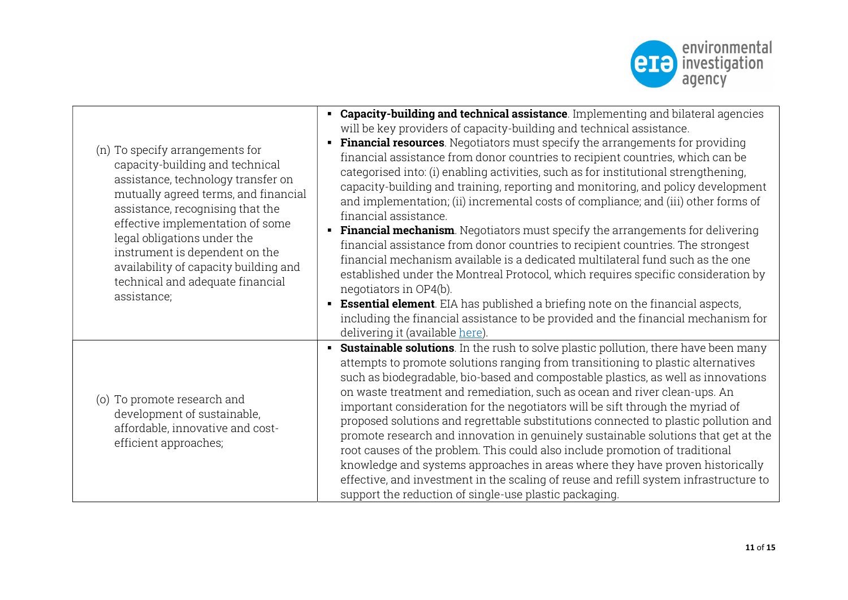

| (n) To specify arrangements for<br>capacity-building and technical<br>assistance, technology transfer on<br>mutually agreed terms, and financial<br>assistance, recognising that the<br>effective implementation of some<br>legal obligations under the<br>instrument is dependent on the<br>availability of capacity building and<br>technical and adequate financial<br>assistance; | • Capacity-building and technical assistance. Implementing and bilateral agencies<br>will be key providers of capacity-building and technical assistance.<br><b>Financial resources</b> . Negotiators must specify the arrangements for providing<br>financial assistance from donor countries to recipient countries, which can be<br>categorised into: (i) enabling activities, such as for institutional strengthening,<br>capacity-building and training, reporting and monitoring, and policy development<br>and implementation; (ii) incremental costs of compliance; and (iii) other forms of<br>financial assistance.<br>Financial mechanism. Negotiators must specify the arrangements for delivering<br>financial assistance from donor countries to recipient countries. The strongest<br>financial mechanism available is a dedicated multilateral fund such as the one<br>established under the Montreal Protocol, which requires specific consideration by<br>negotiators in OP4(b).<br><b>Essential element</b> . EIA has published a briefing note on the financial aspects,<br>including the financial assistance to be provided and the financial mechanism for<br>delivering it (available here). |
|---------------------------------------------------------------------------------------------------------------------------------------------------------------------------------------------------------------------------------------------------------------------------------------------------------------------------------------------------------------------------------------|----------------------------------------------------------------------------------------------------------------------------------------------------------------------------------------------------------------------------------------------------------------------------------------------------------------------------------------------------------------------------------------------------------------------------------------------------------------------------------------------------------------------------------------------------------------------------------------------------------------------------------------------------------------------------------------------------------------------------------------------------------------------------------------------------------------------------------------------------------------------------------------------------------------------------------------------------------------------------------------------------------------------------------------------------------------------------------------------------------------------------------------------------------------------------------------------------------------------|
| (o) To promote research and<br>development of sustainable,<br>affordable, innovative and cost-<br>efficient approaches;                                                                                                                                                                                                                                                               | <b>Sustainable solutions</b> . In the rush to solve plastic pollution, there have been many<br>attempts to promote solutions ranging from transitioning to plastic alternatives<br>such as biodegradable, bio-based and compostable plastics, as well as innovations<br>on waste treatment and remediation, such as ocean and river clean-ups. An<br>important consideration for the negotiators will be sift through the myriad of<br>proposed solutions and regrettable substitutions connected to plastic pollution and<br>promote research and innovation in genuinely sustainable solutions that get at the<br>root causes of the problem. This could also include promotion of traditional<br>knowledge and systems approaches in areas where they have proven historically<br>effective, and investment in the scaling of reuse and refill system infrastructure to<br>support the reduction of single-use plastic packaging.                                                                                                                                                                                                                                                                                 |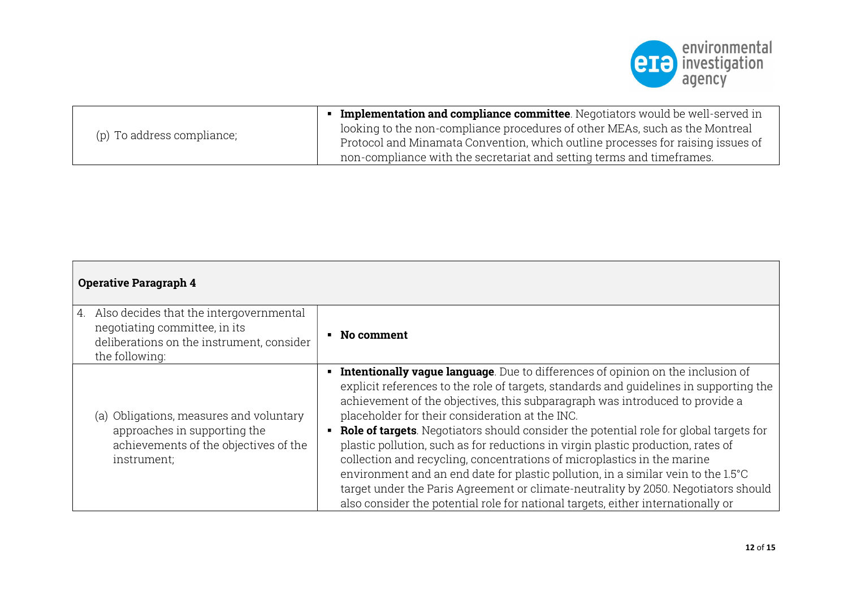

| (p) To address compliance; | <b>• Implementation and compliance committee</b> . Negotiators would be well-served in |
|----------------------------|----------------------------------------------------------------------------------------|
|                            | looking to the non-compliance procedures of other MEAs, such as the Montreal           |
|                            | Protocol and Minamata Convention, which outline processes for raising issues of        |
|                            | non-compliance with the secretariat and setting terms and timeframes.                  |

| <b>Operative Paragraph 4</b>                                                                                                               |                                                                                                                                                                                                                                                                                                                                                                                                                                                                                                                                                                                                                                                                                                                                                                                                                                        |
|--------------------------------------------------------------------------------------------------------------------------------------------|----------------------------------------------------------------------------------------------------------------------------------------------------------------------------------------------------------------------------------------------------------------------------------------------------------------------------------------------------------------------------------------------------------------------------------------------------------------------------------------------------------------------------------------------------------------------------------------------------------------------------------------------------------------------------------------------------------------------------------------------------------------------------------------------------------------------------------------|
| 4. Also decides that the intergovernmental<br>negotiating committee, in its<br>deliberations on the instrument, consider<br>the following: | No comment                                                                                                                                                                                                                                                                                                                                                                                                                                                                                                                                                                                                                                                                                                                                                                                                                             |
| (a) Obligations, measures and voluntary<br>approaches in supporting the<br>achievements of the objectives of the<br>instrument;            | Intentionally vague language. Due to differences of opinion on the inclusion of<br>explicit references to the role of targets, standards and quidelines in supporting the<br>achievement of the objectives, this subparagraph was introduced to provide a<br>placeholder for their consideration at the INC.<br>• Role of targets. Negotiators should consider the potential role for global targets for<br>plastic pollution, such as for reductions in virgin plastic production, rates of<br>collection and recycling, concentrations of microplastics in the marine<br>environment and an end date for plastic pollution, in a similar vein to the 1.5°C<br>target under the Paris Agreement or climate-neutrality by 2050. Negotiators should<br>also consider the potential role for national targets, either internationally or |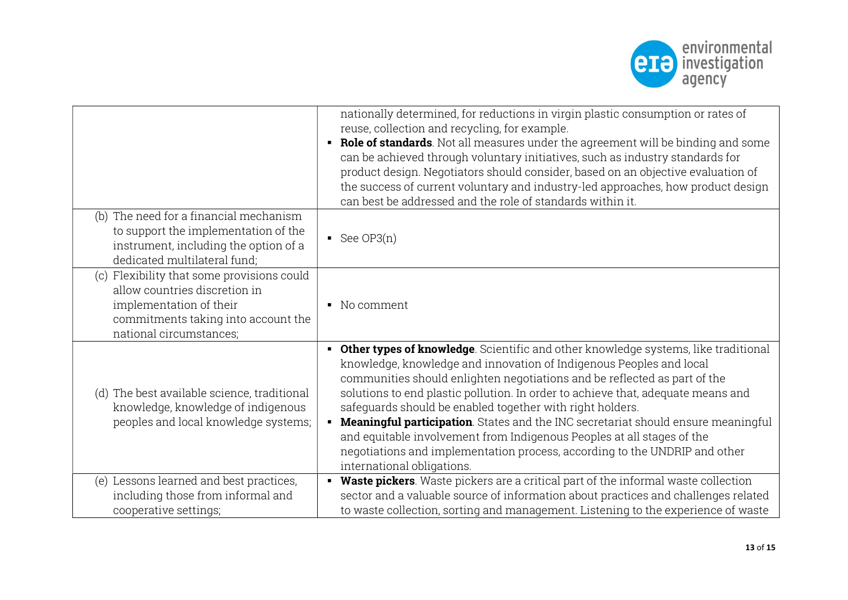

|                                                                                                                                                                          | nationally determined, for reductions in virgin plastic consumption or rates of<br>reuse, collection and recycling, for example.<br>Role of standards. Not all measures under the agreement will be binding and some<br>٠<br>can be achieved through voluntary initiatives, such as industry standards for<br>product design. Negotiators should consider, based on an objective evaluation of<br>the success of current voluntary and industry-led approaches, how product design<br>can best be addressed and the role of standards within it.                                                                                                                     |
|--------------------------------------------------------------------------------------------------------------------------------------------------------------------------|----------------------------------------------------------------------------------------------------------------------------------------------------------------------------------------------------------------------------------------------------------------------------------------------------------------------------------------------------------------------------------------------------------------------------------------------------------------------------------------------------------------------------------------------------------------------------------------------------------------------------------------------------------------------|
| (b) The need for a financial mechanism<br>to support the implementation of the<br>instrument, including the option of a<br>dedicated multilateral fund;                  | See OP3 $(n)$                                                                                                                                                                                                                                                                                                                                                                                                                                                                                                                                                                                                                                                        |
| (c) Flexibility that some provisions could<br>allow countries discretion in<br>implementation of their<br>commitments taking into account the<br>national circumstances; | • No comment                                                                                                                                                                                                                                                                                                                                                                                                                                                                                                                                                                                                                                                         |
| (d) The best available science, traditional<br>knowledge, knowledge of indigenous<br>peoples and local knowledge systems;                                                | Other types of knowledge. Scientific and other knowledge systems, like traditional<br>knowledge, knowledge and innovation of Indigenous Peoples and local<br>communities should enlighten negotiations and be reflected as part of the<br>solutions to end plastic pollution. In order to achieve that, adequate means and<br>safeguards should be enabled together with right holders.<br>• Meaningful participation. States and the INC secretariat should ensure meaningful<br>and equitable involvement from Indigenous Peoples at all stages of the<br>negotiations and implementation process, according to the UNDRIP and other<br>international obligations. |
| (e) Lessons learned and best practices,<br>including those from informal and<br>cooperative settings;                                                                    | Waste pickers. Waste pickers are a critical part of the informal waste collection<br>sector and a valuable source of information about practices and challenges related<br>to waste collection, sorting and management. Listening to the experience of waste                                                                                                                                                                                                                                                                                                                                                                                                         |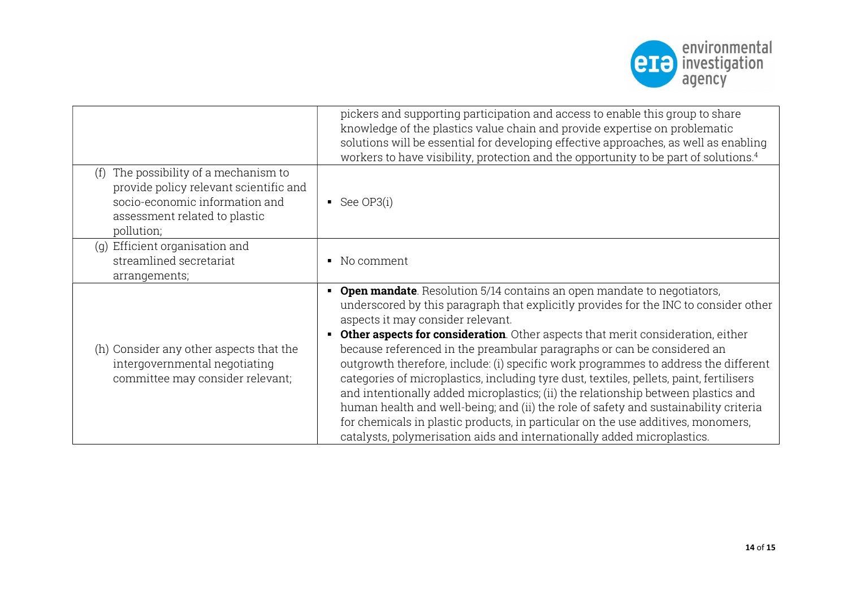

|                                                                                                                                                                     | pickers and supporting participation and access to enable this group to share<br>knowledge of the plastics value chain and provide expertise on problematic<br>solutions will be essential for developing effective approaches, as well as enabling<br>workers to have visibility, protection and the opportunity to be part of solutions. <sup>4</sup>                                                                                                                                                                                                                                                                                                                                                                                                                                                                                                                                                            |
|---------------------------------------------------------------------------------------------------------------------------------------------------------------------|--------------------------------------------------------------------------------------------------------------------------------------------------------------------------------------------------------------------------------------------------------------------------------------------------------------------------------------------------------------------------------------------------------------------------------------------------------------------------------------------------------------------------------------------------------------------------------------------------------------------------------------------------------------------------------------------------------------------------------------------------------------------------------------------------------------------------------------------------------------------------------------------------------------------|
| The possibility of a mechanism to<br>(f)<br>provide policy relevant scientific and<br>socio-economic information and<br>assessment related to plastic<br>pollution; | See $OP3(i)$                                                                                                                                                                                                                                                                                                                                                                                                                                                                                                                                                                                                                                                                                                                                                                                                                                                                                                       |
| (g) Efficient organisation and                                                                                                                                      |                                                                                                                                                                                                                                                                                                                                                                                                                                                                                                                                                                                                                                                                                                                                                                                                                                                                                                                    |
| streamlined secretariat                                                                                                                                             | No comment<br>$\blacksquare$                                                                                                                                                                                                                                                                                                                                                                                                                                                                                                                                                                                                                                                                                                                                                                                                                                                                                       |
| arrangements;                                                                                                                                                       |                                                                                                                                                                                                                                                                                                                                                                                                                                                                                                                                                                                                                                                                                                                                                                                                                                                                                                                    |
| (h) Consider any other aspects that the<br>intergovernmental negotiating<br>committee may consider relevant;                                                        | <b>Open mandate</b> Resolution 5/14 contains an open mandate to negotiators,<br>underscored by this paragraph that explicitly provides for the INC to consider other<br>aspects it may consider relevant.<br><b>Other aspects for consideration</b> . Other aspects that merit consideration, either<br>٠<br>because referenced in the preambular paragraphs or can be considered an<br>outgrowth therefore, include: (i) specific work programmes to address the different<br>categories of microplastics, including tyre dust, textiles, pellets, paint, fertilisers<br>and intentionally added microplastics; (ii) the relationship between plastics and<br>human health and well-being; and (ii) the role of safety and sustainability criteria<br>for chemicals in plastic products, in particular on the use additives, monomers,<br>catalysts, polymerisation aids and internationally added microplastics. |